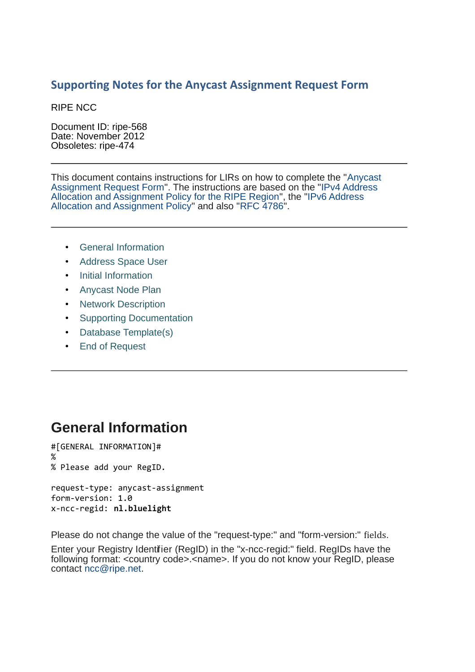#### **Supporting Notes for the Anycast Assignment Request Form**

RIPE NCC

Document ID: ripe-568 Date: November 2012 Obsoletes: ripe-474

This document contains instructions for LIRs on how to complete the ["Anycast](http://www.ripe.net/ripe/docs/resolveuid/67eaa74d1e500f57512417ed9bf6dda1) [Assignment Request Form"](http://www.ripe.net/ripe/docs/resolveuid/67eaa74d1e500f57512417ed9bf6dda1). The instructions are based on the ["IPv4 Address](http://www.ripe.net/ripe/docs/ipv4-policies.html) [Allocation and Assignment Policy for the RIPE Region"](http://www.ripe.net/ripe/docs/ipv4-policies.html), the ["IPv6 Address](http://www.ripe.net/ripe/docs/ipv6policy.html) [Allocation and Assignment Policy"](http://www.ripe.net/ripe/docs/ipv6policy.html) and also ["RFC 4786"](http://www.ietf.org/rfc/rfc4786.txt).

- [General Information](#page-0-0)
- [Address Space User](#page-0-1)
- [Initial Information](#page-2-1)
- [Anycast Node Plan](#page-2-0)
- [Network Description](#page-3-1)
- [Supporting Documentation](#page-3-0)
- [Database Template\(s\)](#page-4-0)
- <span id="page-0-0"></span>• [End of Request](#page-5-0)

#### **General Information**

#[GENERAL INFORMATION]# % % Please add your RegID.

request-type: anycast-assignment form-version: 1.0 x-ncc-regid: **nl.bluelight**

Please do not change the value of the "request-type:" and "form-version:" fields.

<span id="page-0-1"></span>Enter your Registry Identifier (RegID) in the "x-ncc-regid:" field. RegIDs have the following format: <country code>.<name>. If you do not know your RegID, please contact [ncc@ripe.net.](mailto:ncc@ripe.net)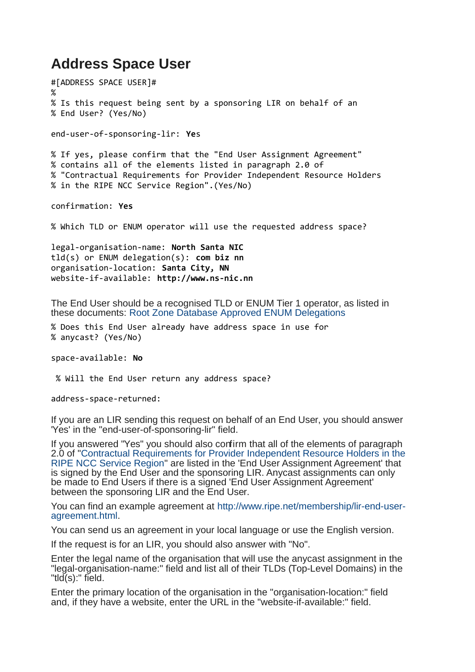### **Address Space User**

#[ADDRESS SPACE USER]# % % Is this request being sent by a sponsoring LIR on behalf of an % End User? (Yes/No) end-user-of-sponsoring-lir: **Ye**s % If yes, please confirm that the "End User Assignment Agreement" % contains all of the elements listed in paragraph 2.0 of % "Contractual Requirements for Provider Independent Resource Holders % in the RIPE NCC Service Region".(Yes/No) confirmation: **Yes** % Which TLD or ENUM operator will use the requested address space? legal-organisation-name: **North Santa NIC** tld(s) or ENUM delegation(s): **com biz nn** organisation-location: **Santa City, NN** website-if-available: **http://www.ns-nic.nn** The End User should be a recognised TLD or ENUM Tier 1 operator, as listed in these documents: [Root Zone Database](http://www.iana.org/domains/root/db/) [Approved ENUM Delegations](http://www.itu.int/oth/T0208000001) % Does this End User already have address space in use for % anycast? (Yes/No) space-available: **No** % Will the End User return any address space? address-space-returned: If you are an LIR sending this request on behalf of an End User, you should answer 'Yes' in the "end-user-of-sponsoring-lir" field. If you answered "Yes" you should also confirm that all of the elements of paragraph

2.0 of ["Contractual Requirements for Provider Independent Resource Holders in the](http://www.ripe.net/ripe/docs/contract-req.html) [RIPE NCC Service Region"](http://www.ripe.net/ripe/docs/contract-req.html) are listed in the 'End User Assignment Agreement' that is signed by the End User and the sponsoring LIR. Anycast assignments can only be made to End Users if there is a signed 'End User Assignment Agreement' between the sponsoring LIR and the End User.

You can find an example agreement at [http://www.ripe.net/membership/lir-end-user](http://www.ripe.net/ripe/docs/resolveuid/391df1203f5f7d0cf5f62b4d65424e23)[agreement.html.](http://www.ripe.net/ripe/docs/resolveuid/391df1203f5f7d0cf5f62b4d65424e23)

You can send us an agreement in your local language or use the English version.

If the request is for an LIR, you should also answer with "No".

Enter the legal name of the organisation that will use the anycast assignment in the "legal-organisation-name:" field and list all of their TLDs (Top-Level Domains) in the "tld(s):" field.

Enter the primary location of the organisation in the "organisation-location:" field and, if they have a website, enter the URL in the "website-if-available:" field.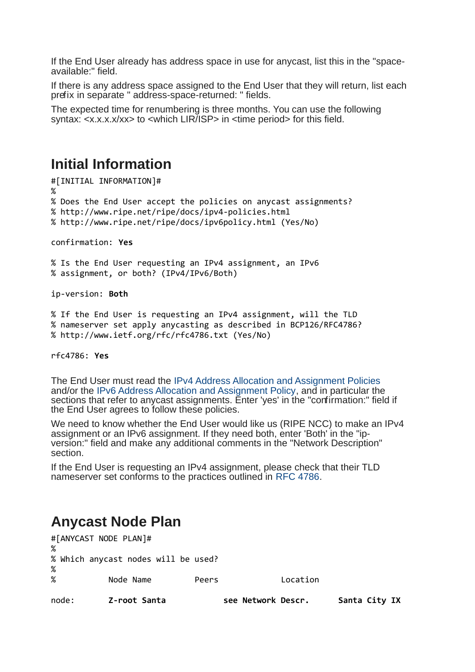If the End User already has address space in use for anycast, list this in the "spaceavailable:" field.

If there is any address space assigned to the End User that they will return, list each prefix in separate " address-space-returned: " fields.

The expected time for renumbering is three months. You can use the following syntax: <x.x.x.x/xx> to <which LIR/ISP> in <time period> for this field.

#### <span id="page-2-1"></span>**Initial Information**

#[INITIAL INFORMATION]# % % Does the End User accept the policies on anycast assignments? % http://www.ripe.net/ripe/docs/ipv4-policies.html % http://www.ripe.net/ripe/docs/ipv6policy.html (Yes/No)

confirmation: **Yes**

% Is the End User requesting an IPv4 assignment, an IPv6 % assignment, or both? (IPv4/IPv6/Both)

ip-version: **Both**

% If the End User is requesting an IPv4 assignment, will the TLD % nameserver set apply anycasting as described in BCP126/RFC4786? % http://www.ietf.org/rfc/rfc4786.txt (Yes/No)

rfc4786: **Yes**

The End User must read the [IPv4 Address Allocation and Assignment Policies](http://www.ripe.net/ripe/docs/ipv4-policies.html) and/or the [IPv6 Address Allocation and Assignment Policy,](http://www.ripe.net/ripe/docs/ipv6-policy.html) and in particular the sections that refer to anycast assignments. Enter 'yes' in the "confirmation:" field if the End User agrees to follow these policies.

We need to know whether the End User would like us (RIPE NCC) to make an IPv4 assignment or an IPv6 assignment. If they need both, enter 'Both' in the "ipversion:" field and make any additional comments in the "Network Description" section.

<span id="page-2-0"></span>If the End User is requesting an IPv4 assignment, please check that their TLD nameserver set conforms to the practices outlined in [RFC 4786.](http://www.ietf.org/rfc/rfc4786.txt)

#### **Anycast Node Plan**

| node: | Z-root Santa                        |       | see Network Descr. | Santa City IX |
|-------|-------------------------------------|-------|--------------------|---------------|
| $\%$  | Node Name                           | Peers | Location           |               |
| %     | % Which anycast nodes will be used? |       |                    |               |
| %     |                                     |       |                    |               |
|       | #[ANYCAST NODE PLAN]#               |       |                    |               |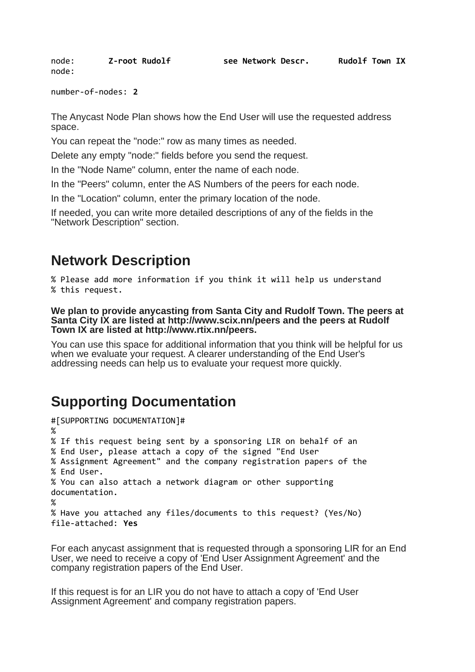node: **Z-root Rudolf see Network Descr. Rudolf Town IX** node:

number-of-nodes: **2**

The Anycast Node Plan shows how the End User will use the requested address space.

You can repeat the "node:" row as many times as needed.

Delete any empty "node:" fields before you send the request.

In the "Node Name" column, enter the name of each node.

In the "Peers" column, enter the AS Numbers of the peers for each node.

In the "Location" column, enter the primary location of the node.

If needed, you can write more detailed descriptions of any of the fields in the "Network Description" section.

## <span id="page-3-1"></span>**Network Description**

% Please add more information if you think it will help us understand % this request.

**We plan to provide anycasting from Santa City and Rudolf Town. The peers at Santa City IX are listed at http://www.scix.nn/peers and the peers at Rudolf Town IX are listed at http://www.rtix.nn/peers.**

You can use this space for additional information that you think will be helpful for us when we evaluate your request. A clearer understanding of the End User's addressing needs can help us to evaluate your request more quickly.

# <span id="page-3-0"></span>**Supporting Documentation**

```
#[SUPPORTING DOCUMENTATION]#
%
% If this request being sent by a sponsoring LIR on behalf of an 
% End User, please attach a copy of the signed "End User 
% Assignment Agreement" and the company registration papers of the 
% End User.
% You can also attach a network diagram or other supporting
documentation.
%
% Have you attached any files/documents to this request? (Yes/No)
file-attached: Yes
```
For each anycast assignment that is requested through a sponsoring LIR for an End User, we need to receive a copy of 'End User Assignment Agreement' and the company registration papers of the End User.

If this request is for an LIR you do not have to attach a copy of 'End User Assignment Agreement' and company registration papers.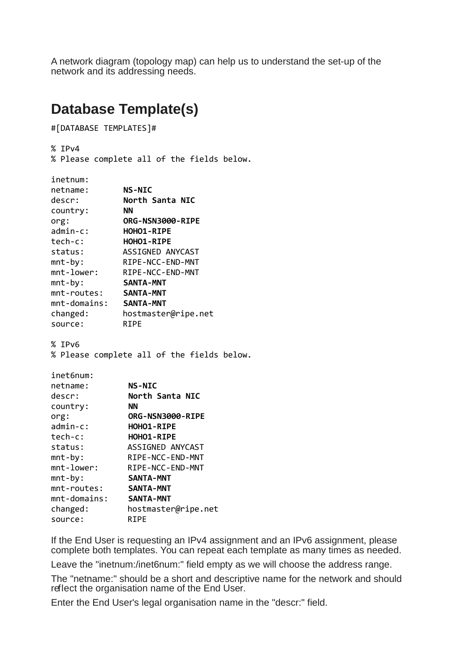A network diagram (topology map) can help us to understand the set-up of the network and its addressing needs.

### <span id="page-4-0"></span>**Database Template(s)**

#[DATABASE TEMPLATES]#

% IPv4

% Please complete all of the fields below.

| inetnum:               |                                            |  |  |
|------------------------|--------------------------------------------|--|--|
| netname:               | <b>NS-NIC</b>                              |  |  |
| descr:                 | North Santa NIC                            |  |  |
| country:               | ΝN                                         |  |  |
| org:                   | ORG-NSN3000-RIPE                           |  |  |
| $admin-c$ :            | HOHO1-RIPE                                 |  |  |
| tech-c:                | HOHO1-RIPE                                 |  |  |
| status:                | ASSIGNED ANYCAST                           |  |  |
| $mnt-by:$              | RIPE-NCC-END-MNT                           |  |  |
| mnt-lower:             | RIPE-NCC-END-MNT                           |  |  |
| $mnt-by:$              | <b>SANTA-MNT</b>                           |  |  |
| mnt-routes:            | <b>SANTA-MNT</b>                           |  |  |
| mnt-domains: SANTA-MNT |                                            |  |  |
| changed:               | hostmaster@ripe.net                        |  |  |
| source:                | <b>RIPE</b>                                |  |  |
|                        | % Please complete all of the fields below. |  |  |
| inet6num:              |                                            |  |  |
| netname:               | <b>NS-NIC</b>                              |  |  |
| descr:                 | North Santa NIC                            |  |  |
| country:               | <b>NN</b><br>ORG-NSN3000-RIPE              |  |  |
| org:<br>admin-c:       | HOHO1-RIPE                                 |  |  |
| tech-c:                | HOHO1-RIPE                                 |  |  |
| status:                | ASSIGNED ANYCAST                           |  |  |
| $mnt-by:$              | RIPE-NCC-END-MNT                           |  |  |
| mnt-lower:             | RIPE-NCC-END-MNT                           |  |  |
| $mnt-by:$              | <b>SANTA-MNT</b>                           |  |  |
| mnt-routes:            | <b>SANTA-MNT</b>                           |  |  |
| $mnt$ -domains:        | <b>SANTA-MNT</b>                           |  |  |
| changed:               | hostmaster@ripe.net                        |  |  |
| source:                | <b>RIPE</b>                                |  |  |

If the End User is requesting an IPv4 assignment and an IPv6 assignment, please complete both templates. You can repeat each template as many times as needed.

Leave the "inetnum:/inet6num:" field empty as we will choose the address range.

The "netname:" should be a short and descriptive name for the network and should reflect the organisation name of the End User.

Enter the End User's legal organisation name in the "descr:" field.